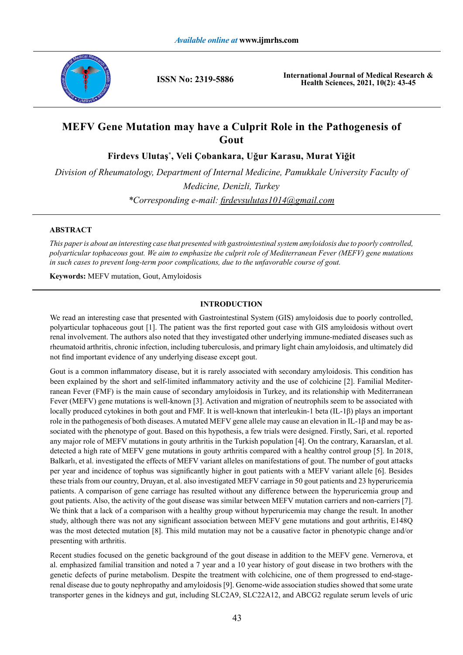

**ISSN No: 2319-5886**

**International Journal of Medical Research & Health Sciences, 2021, 10(2): 43-45**

# **MEFV Gene Mutation may have a Culprit Role in the Pathogenesis of Gout**

**Firdevs Ulutaş\* , Veli Çobankara, Uğur Karasu, Murat Yiğit**

*Division of Rheumatology, Department of Internal Medicine, Pamukkale University Faculty of Medicine, Denizli, Turkey \*Corresponding e-mail: firdevsulutas1014@gmail.com*

# **ABSTRACT**

*This paper is about an interesting case that presented with gastrointestinal system amyloidosis due to poorly controlled, polyarticular tophaceous gout. We aim to emphasize the culprit role of Mediterranean Fever (MEFV) gene mutations in such cases to prevent long-term poor complications, due to the unfavorable course of gout.* 

**Keywords:** MEFV mutation, Gout, Amyloidosis

# **INTRODUCTION**

We read an interesting case that presented with Gastrointestinal System (GIS) amyloidosis due to poorly controlled, polyarticular tophaceous gout [1]. The patient was the first reported gout case with GIS amyloidosis without overt renal involvement. The authors also noted that they investigated other underlying immune-mediated diseases such as rheumatoid arthritis, chronic infection, including tuberculosis, and primary light chain amyloidosis, and ultimately did not find important evidence of any underlying disease except gout.

Gout is a common inflammatory disease, but it is rarely associated with secondary amyloidosis. This condition has been explained by the short and self-limited inflammatory activity and the use of colchicine [2]. Familial Mediterranean Fever (FMF) is the main cause of secondary amyloidosis in Turkey, and its relationship with Mediterranean Fever (MEFV) gene mutations is well-known [3]. Activation and migration of neutrophils seem to be associated with locally produced cytokines in both gout and FMF. It is well-known that interleukin-1 beta (IL-1β) plays an important role in the pathogenesis of both diseases. A mutated MEFV gene allele may cause an elevation in IL-1β and may be associated with the phenotype of gout. Based on this hypothesis, a few trials were designed. Firstly, Sari, et al. reported any major role of MEFV mutations in gouty arthritis in the Turkish population [4]. On the contrary, Karaarslan, et al. detected a high rate of MEFV gene mutations in gouty arthritis compared with a healthy control group [5]. In 2018, Balkarlı, et al. investigated the effects of MEFV variant alleles on manifestations of gout. The number of gout attacks per year and incidence of tophus was significantly higher in gout patients with a MEFV variant allele [6]. Besides these trials from our country, Druyan, et al. also investigated MEFV carriage in 50 gout patients and 23 hyperuricemia patients. A comparison of gene carriage has resulted without any difference between the hyperuricemia group and gout patients. Also, the activity of the gout disease was similar between MEFV mutation carriers and non-carriers [7]. We think that a lack of a comparison with a healthy group without hyperuricemia may change the result. In another study, although there was not any significant association between MEFV gene mutations and gout arthritis, E148Q was the most detected mutation [8]. This mild mutation may not be a causative factor in phenotypic change and/or presenting with arthritis.

Recent studies focused on the genetic background of the gout disease in addition to the MEFV gene. Vernerova, et al. emphasized familial transition and noted a 7 year and a 10 year history of gout disease in two brothers with the genetic defects of purine metabolism. Despite the treatment with colchicine, one of them progressed to end-stagerenal disease due to gouty nephropathy and amyloidosis [9]. Genome-wide association studies showed that some urate transporter genes in the kidneys and gut, including SLC2A9, SLC22A12, and ABCG2 regulate serum levels of uric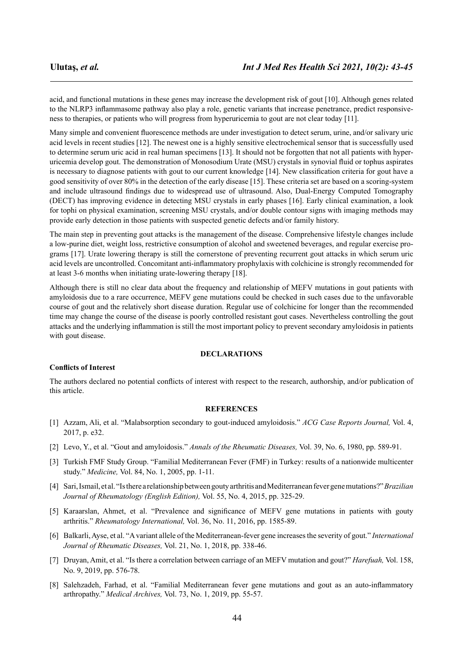acid, and functional mutations in these genes may increase the development risk of gout [10]. Although genes related to the NLRP3 inflammasome pathway also play a role, genetic variants that increase penetrance, predict responsiveness to therapies, or patients who will progress from hyperuricemia to gout are not clear today [11].

Many simple and convenient fluorescence methods are under investigation to detect serum, urine, and/or salivary uric acid levels in recent studies [12]. The newest one is a highly sensitive electrochemical sensor that is successfully used to determine serum uric acid in real human specimens [13]. It should not be forgotten that not all patients with hyperuricemia develop gout. The demonstration of Monosodium Urate (MSU) crystals in synovial fluid or tophus aspirates is necessary to diagnose patients with gout to our current knowledge [14]. New classification criteria for gout have a good sensitivity of over 80% in the detection of the early disease [15]. These criteria set are based on a scoring-system and include ultrasound findings due to widespread use of ultrasound. Also, Dual-Energy Computed Tomography (DECT) has improving evidence in detecting MSU crystals in early phases [16]. Early clinical examination, a look for tophi on physical examination, screening MSU crystals, and/or double contour signs with imaging methods may provide early detection in those patients with suspected genetic defects and/or family history.

The main step in preventing gout attacks is the management of the disease. Comprehensive lifestyle changes include a low-purine diet, weight loss, restrictive consumption of alcohol and sweetened beverages, and regular exercise programs [17]. Urate lowering therapy is still the cornerstone of preventing recurrent gout attacks in which serum uric acid levels are uncontrolled. Concomitant anti-inflammatory prophylaxis with colchicine is strongly recommended for at least 3-6 months when initiating urate-lowering therapy [18].

Although there is still no clear data about the frequency and relationship of MEFV mutations in gout patients with amyloidosis due to a rare occurrence, MEFV gene mutations could be checked in such cases due to the unfavorable course of gout and the relatively short disease duration. Regular use of colchicine for longer than the recommended time may change the course of the disease is poorly controlled resistant gout cases. Nevertheless controlling the gout attacks and the underlying inflammation is still the most important policy to prevent secondary amyloidosis in patients with gout disease.

## **DECLARATIONS**

#### **Conflicts of Interest**

The authors declared no potential conflicts of interest with respect to the research, authorship, and/or publication of this article.

### **REFERENCES**

- [1] Azzam, Ali, et al. "Malabsorption secondary to gout-induced amyloidosis." *ACG Case Reports Journal,* Vol. 4, 2017, p. e32.
- [2] Levo, Y., et al. "Gout and amyloidosis." *Annals of the Rheumatic Diseases,* Vol. 39, No. 6, 1980, pp. 589-91.
- [3] Turkish FMF Study Group. "Familial Mediterranean Fever (FMF) in Turkey: results of a nationwide multicenter study." *Medicine,* Vol. 84, No. 1, 2005, pp. 1-11.
- [4] Sari, Ismail, et al. "Is there a relationship between gouty arthritis and Mediterranean fever gene mutations?"*Brazilian Journal of Rheumatology (English Edition),* Vol. 55, No. 4, 2015, pp. 325-29.
- [5] Karaarslan, Ahmet, et al. "Prevalence and significance of MEFV gene mutations in patients with gouty arthritis." *Rheumatology International,* Vol. 36, No. 11, 2016, pp. 1585-89.
- [6] Balkarli, Ayse, et al. "A variant allele of the Mediterranean-fever gene increases the severity of gout." *International Journal of Rheumatic Diseases,* Vol. 21, No. 1, 2018, pp. 338-46.
- [7] Druyan, Amit, et al. "Is there a correlation between carriage of an MEFV mutation and gout?" *Harefuah,* Vol. 158, No. 9, 2019, pp. 576-78.
- [8] Salehzadeh, Farhad, et al. "Familial Mediterranean fever gene mutations and gout as an auto-inflammatory arthropathy." *Medical Archives,* Vol. 73, No. 1, 2019, pp. 55-57.